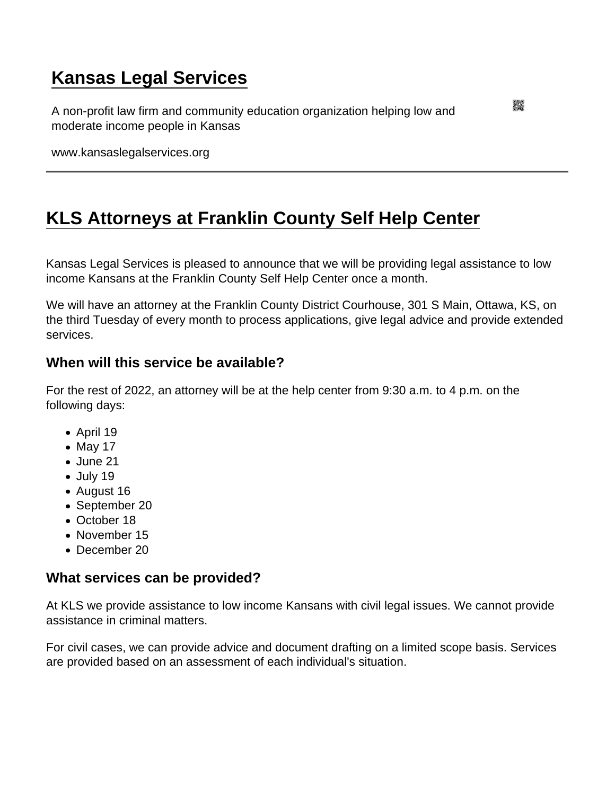## [Kansas Legal Services](https://www.kansaslegalservices.org/)

A non-profit law firm and community education organization helping low and moderate income people in Kansas

www.kansaslegalservices.org

## [KLS Attorneys at Franklin County Self Help Center](https://www.kansaslegalservices.org/node/2509/kls-attorneys-franklin-county-self-help-center)

Kansas Legal Services is pleased to announce that we will be providing legal assistance to low income Kansans at the Franklin County Self Help Center once a month.

We will have an attorney at the Franklin County District Courhouse, 301 S Main, Ottawa, KS, on the third Tuesday of every month to process applications, give legal advice and provide extended services.

When will this service be available?

For the rest of 2022, an attorney will be at the help center from 9:30 a.m. to 4 p.m. on the following days:

- April 19
- $\bullet$  May 17
- June 21
- $\bullet$  July 19
- August 16
- September 20
- October 18
- November 15
- December 20

What services can be provided?

At KLS we provide assistance to low income Kansans with civil legal issues. We cannot provide assistance in criminal matters.

For civil cases, we can provide advice and document drafting on a limited scope basis. Services are provided based on an assessment of each individual's situation.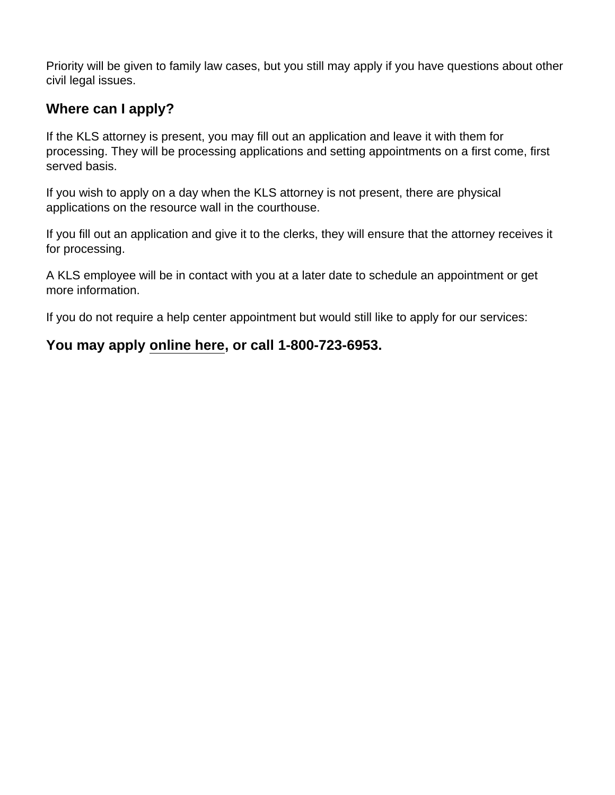Priority will be given to family law cases, but you still may apply if you have questions about other civil legal issues.

Where can I apply?

If the KLS attorney is present, you may fill out an application and leave it with them for processing. They will be processing applications and setting appointments on a first come, first served basis.

If you wish to apply on a day when the KLS attorney is not present, there are physical applications on the resource wall in the courthouse.

If you fill out an application and give it to the clerks, they will ensure that the attorney receives it for processing.

A KLS employee will be in contact with you at a later date to schedule an appointment or get more information.

If you do not require a help center appointment but would still like to apply for our services:

You may apply [online here](https://www.kansaslegalservices.org/node/online-application) , or call 1-800-723-6953.